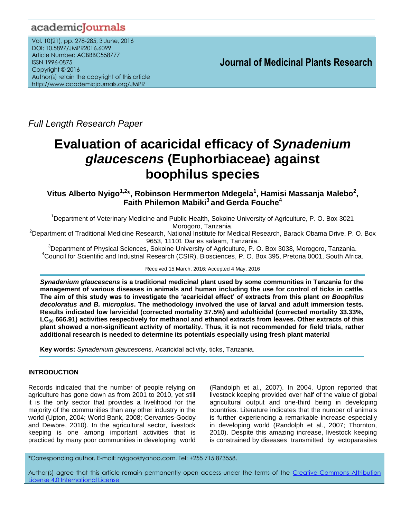## academicJournals

Vol. 10(21), pp. 278-285, 3 June, 2016 DOI: 10.5897/JMPR2016.6099 Article Number: ACBBBC558777 ISSN 1996-0875 Copyright © 2016 Author(s) retain the copyright of this article http://www.academicjournals.org/JMPR

 **Journal of Medicinal Plants Research**

*Full Length Research Paper*

# **Evaluation of acaricidal efficacy of** *Synadenium glaucescens* **(Euphorbiaceae) against boophilus species**

**Vitus Alberto Nyigo1,2\*, Robinson Hermmerton Mdegela<sup>1</sup> , Hamisi Massanja Malebo<sup>2</sup> , Faith Philemon Mabiki<sup>3</sup>and Gerda Fouche<sup>4</sup>**

<sup>1</sup>Department of Veterinary Medicine and Public Health, Sokoine University of Agriculture, P. O. Box 3021 Morogoro, Tanzania.

<sup>2</sup>Department of Traditional Medicine Research, National Institute for Medical Research, Barack Obama Drive, P. O. Box 9653, 11101 Dar es salaam, Tanzania.

<sup>3</sup>Department of Physical Sciences, Sokoine University of Agriculture, P. O. Box 3038, Morogoro, Tanzania. <sup>4</sup>Council for Scientific and Industrial Research (CSIR), Biosciences, P. O. Box 395, Pretoria 0001, South Africa.

Received 15 March, 2016; Accepted 4 May, 2016

*Synadenium glaucescens* **is a traditional medicinal plant used by some communities in Tanzania for the management of various diseases in animals and human including the use for control of ticks in cattle. The aim of this study was to investigate the 'acaricidal effect' of extracts from this plant** *on Boophilus decoloratus and B. microplus***. The methodology involved the use of larval and adult immersion tests. Results indicated low larvicidal (corrected mortality 37.5%) and adulticidal (corrected mortality 33.33%, LC<sup>50</sup> 666.91) activities respectively for methanol and ethanol extracts from leaves. Other extracts of this plant showed a non-significant activity of mortality. Thus, it is not recommended for field trials, rather additional research is needed to determine its potentials especially using fresh plant material**

**Key words:** *Synadenium glaucescens,* Acaricidal activity, ticks, Tanzania.

## **INTRODUCTION**

Records indicated that the number of people relying on agriculture has gone down as from 2001 to 2010, yet still it is the only sector that provides a livelihood for the majority of the communities than any other industry in the world (Upton, 2004; World Bank, 2008; Cervantes-Godoy and Dewbre, 2010). In the agricultural sector, livestock keeping is one among important activities that is practiced by many poor communities in developing world

(Randolph et al., 2007). In 2004, Upton reported that livestock keeping provided over half of the value of global agricultural output and one-third being in developing countries. Literature indicates that the number of animals is further experiencing a remarkable increase especially in developing world (Randolph et al., 2007; Thornton, 2010). Despite this amazing increase, livestock keeping is constrained by diseases transmitted by ectoparasites

\*Corresponding author. E-mail: nyigoo@yahoo.com. Tel: +255 715 873558.

Author(s) agree that this article remain permanently open access under the terms of the Creative Commons [Attribution](http://creativecommons.org/licenses/by/4.0/deed.en_US)  License 4.0 [International](http://creativecommons.org/licenses/by/4.0/deed.en_US) License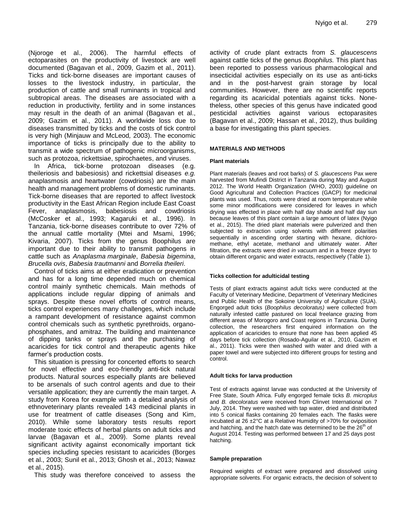(Njoroge et al., 2006). The harmful effects of ectoparasites on the productivity of livestock are well documented (Bagavan et al., 2009, Gazim et al., 2011). Ticks and tick-borne diseases are important causes of losses to the livestock industry, in particular, the production of cattle and small ruminants in tropical and subtropical areas. The diseases are associated with a reduction in productivity, fertility and in some instances may result in the death of an animal (Bagavan et al., 2009; Gazim et al., 2011). A worldwide loss due to diseases transmitted by ticks and the costs of tick control is very high (Minjauw and McLeod*,* 2003). The economic importance of ticks is principally due to the ability to transmit a wide spectrum of pathogenic microorganisms, such as protozoa, rickettsiae, spirochaetes, and viruses.

In Africa, tick-borne protozoan diseases (e.g. theileriosis and babesiosis) and rickettsial diseases *e.g.* anaplasmosis and heartwater (cowdriosis) are the main health and management problems of domestic ruminants. Tick-borne diseases that are reported to affect livestock productivity in the East African Region include East Coast Fever, anaplasmosis, babesiosis and cowdriosis (McCosker et al., 1993; Kagaruki et al., 1996). In Tanzania, tick-borne diseases contribute to over 72% of the annual cattle mortality (Mtei and Msami, 1996; Kivaria, 2007). Ticks from the genus Boophilus are important due to their ability to transmit pathogens in cattle such as *Anaplasma marginale*, *Babesia bigemina*, *Brucella ovis*, *Babesia trautmanni* and *Borrelia theileri*.

Control of ticks aims at either eradication or prevention and has for a long time depended much on chemical control mainly synthetic chemicals. Main methods of applications include regular dipping of animals and sprays. Despite these novel efforts of control means, ticks control experiences many challenges, which include a rampant development of resistance against common control chemicals such as synthetic pyrethroids, organophosphates, and amitraz. The building and maintenance of dipping tanks or sprays and the purchasing of acaricides for tick control and therapeutic agents hike farmer's production costs.

This situation is pressing for concerted efforts to search for novel effective and eco-friendly anti-tick natural products. Natural sources especially plants are believed to be arsenals of such control agents and due to their versatile application; they are currently the main target. A study from Korea for example with a detailed analysis of ethnoveterinary plants revealed 143 medicinal plants in use for treatment of cattle diseases (Song and Kim, 2010). While some laboratory tests results report moderate toxic effects of herbal plants on adult ticks and larvae (Bagavan et al., 2009). Some plants reveal significant activity against economically important tick species including species resistant to acaricides (Borges et al., 2003; Sunil et al., 2013; Ghosh et al., 2013; Nawaz et al., 2015).

This study was therefore conceived to assess the

activity of crude plant extracts from *S. glaucescens* against cattle ticks of the genus *Boophilus.* This plant has been reported to possess various pharmacological and insecticidal activities especially on its use as anti-ticks and in the post-harvest grain storage by local communities. However, there are no scientific reports regarding its acaricidal potentials against ticks. Nonetheless, other species of this genus have indicated good pesticidal activities against various ectoparasites (Bagavan et al., 2009; Hassan et al., 2012), thus building a base for investigating this plant species.

#### **MATERIALS AND METHODS**

#### **Plant materials**

Plant materials (leaves and root barks) of *S. glaucescens* Pax were harvested from Mufindi District in Tanzania during May and August 2012. The World Health Organization (WHO, 2003) guideline on Good Agricultural and Collection Practices (GACP) for medicinal plants was used. Thus, roots were dried at room temperature while some minor modifications were considered for leaves in which drying was effected in place with half day shade and half day sun because leaves of this plant contain a large amount of latex (Nyigo et al., 2015). The dried plant materials were pulverized and then subjected to extraction using solvents with different polarities sequentially in ascending order starting with hexane, dichloromethane, ethyl acetate, methanol and ultimately water. After filtration, the extracts were dried *in vacuum* and in a freeze dryer to obtain different organic and water extracts, respectively (Table 1).

#### **Ticks collection for adulticidal testing**

Tests of plant extracts against adult ticks were conducted at the Faculty of Veterinary Medicine, Department of Veterinary Medicines and Public Health of the Sokoine University of Agriculture (SUA). Engorged adult ticks (*Boophilus decoloratus)* were collected from naturally infested cattle pastured on local freelance grazing from different areas of Morogoro and Coast regions in Tanzania. During collection, the researchers first enquired information on the application of acaricides to ensure that none has been applied 45 days before tick collection (Rosado-Aguilar et al., 2010, Gazim et al., 2011). Ticks were then washed with water and dried with a paper towel and were subjected into different groups for testing and control.

#### **Adult ticks for larva production**

Test of extracts against larvae was conducted at the University of Free State, South Africa. Fully engorged female ticks *B. microplus* and *B. decoloratus* were received from Clinvet International on 7 July, 2014. They were washed with tap water, dried and distributed into 5 conical flasks containing 20 females each. The flasks were incubated at 26 ±2°C at a Relative Humidity of >70% for oviposition and hatching, and the hatch date was determined to be the  $26<sup>th</sup>$  of August 2014. Testing was performed between 17 and 25 days post hatching.

#### **Sample preparation**

Required weights of extract were prepared and dissolved using appropriate solvents. For organic extracts, the decision of solvent to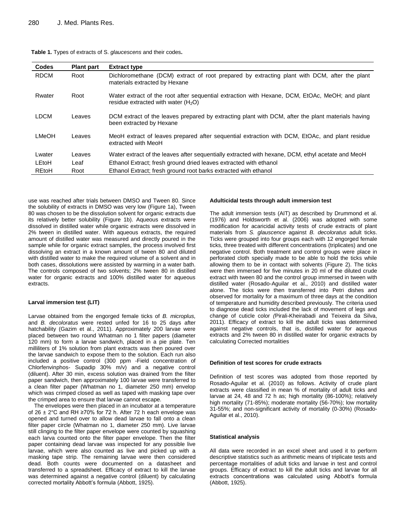| <b>Codes</b> | <b>Plant part</b> | <b>Extract type</b>                                                                                                                    |
|--------------|-------------------|----------------------------------------------------------------------------------------------------------------------------------------|
| <b>RDCM</b>  | Root              | Dichloromethane (DCM) extract of root prepared by extracting plant with DCM, after the plant<br>materials extracted by Hexane          |
| Rwater       | Root              | Water extract of the root after sequential extraction with Hexane, DCM, EtOAc, MeOH; and plant<br>residue extracted with water $(H2O)$ |
| <b>LDCM</b>  | Leaves            | DCM extract of the leaves prepared by extracting plant with DCM, after the plant materials having<br>been extracted by Hexane          |
| <b>LMeOH</b> | Leaves            | MeoH extract of leaves prepared after sequential extraction with DCM, EtOAc, and plant residue<br>extracted with MeoH                  |
| Lwater       | Leaves            | Water extract of the leaves after sequentially extracted with hexane, DCM, ethyl acetate and MeoH                                      |
| LEtoH        | Leaf              | Ethanol Extract; fresh ground dried leaves extracted with ethanol                                                                      |
| REtoH        | Root              | Ethanol Extract; fresh ground root barks extracted with ethanol                                                                        |

| Table 1. Types of extracts of S. glaucescens and their codes. |  |
|---------------------------------------------------------------|--|
|---------------------------------------------------------------|--|

use was reached after trials between DMSO and Tween 80. Since the solubility of extracts in DMSO was very low (Figure 1a), Tween 80 was chosen to be the dissolution solvent for organic extracts due its relatively better solubility (Figure 1b). Aqueous extracts were dissolved in distilled water while organic extracts were dissolved in 2% tween in distilled water. With aqueous extracts, the required amount of distilled water was measured and directly poured in the sample while for organic extract samples, the process involved first dissolving an extract in a known amount of tween 80 and diluted with distilled water to make the required volume of a solvent and in both cases, dissolutions were assisted by warming in a water bath. The controls composed of two solvents; 2% tween 80 in distilled water for organic extracts and 100% distilled water for aqueous extracts.

#### **Larval immersion test (LIT)**

Larvae obtained from the engorged female ticks of *B. microplus,* and *B. decoloratus* were rested unfed for 16 to 25 days after hatchability (Gazim et al., 2011). Approximately 200 larvae were placed between two round Whatman no 1 filter papers (diameter 120 mm) to form a larvae sandwich, placed in a pie plate. Ten milliliters of 1% solution from plant extracts was then poured over the larvae sandwich to expose them to the solution. Each run also included a positive control (300 ppm -Field concentration of Chlorfenvinphos- Supadip 30% m/v) and a negative control (diluent). After 30 min, excess solution was drained from the filter paper sandwich, then approximately 100 larvae were transferred to a clean filter paper (Whatman no 1, diameter 250 mm) envelop which was crimped closed as well as taped with masking tape over the crimped area to ensure that larvae cannot escape.

The envelopes were then placed in an incubator at a temperature of 26 ± 2°C and RH ≥70% for 72 h. After 72 h each envelope was opened and turned over to allow dead larvae to fall onto a clean filter paper circle (Whatman no 1, diameter 250 mm). Live larvae still clinging to the filter paper envelope were counted by squashing each larva counted onto the filter paper envelope. Then the filter paper containing dead larvae was inspected for any possible live larvae, which were also counted as live and picked up with a masking tape strip. The remaining larvae were then considered dead. Both counts were documented on a datasheet and transferred to a spreadsheet. Efficacy of extract to kill the larvae was determined against a negative control (diluent) by calculating corrected mortality Abbott's formula (Abbott, 1925).

#### **Adulticidal tests through adult immersion test**

The adult immersion tests (AIT) as described by Drummond et al. (1976) and Holdsworth et al. (2006) was adopted with some modification for acaricidal activity tests of crude extracts of plant materials from *S. glauscence* against *B. decoloratus* adult ticks. Ticks were grouped into four groups each with 12 engorged female ticks, three treated with different concentrations (triplicates) and one negative control. Both treatment and control groups were place in perforated cloth specially made to be able to hold the ticks while allowing them to be in contact with solvents (Figure 2). The ticks were then immersed for five minutes in 20 ml of the diluted crude extract with tween 80 and the control group immersed in tween with distilled water (Rosado-Aguilar et al., 2010) and distilled water alone. The ticks were then transferred into Petri dishes and observed for mortality for a maximum of three days at the condition of temperature and humidity described previously. The criteria used to diagnose dead ticks included the lack of movement of legs and change of cuticle color *(*Pirali-Kheirabadi and Teixeira da Silva, 2011). Efficacy of extract to kill the adult ticks was determined against negative controls, that is, distilled water for aqueous extracts and 2% tween 80 in distilled water for organic extracts by calculating Corrected mortalities

#### **Definition of test scores for crude extracts**

Definition of test scores was adopted from those reported by Rosado-Aguilar et al. (2010) as follows. Activity of crude plant extracts were classified in mean % of mortality of adult ticks and larvae at 24, 48 and 72 h as; high mortality (86-100%); relatively high mortality (71-85%); moderate mortality (56-70%); low mortality 31-55%; and non-significant activity of mortality (0-30%) (Rosado-Aguilar et al., 2010).

#### **Statistical analysis**

All data were recorded in an excel sheet and used it to perform descriptive statistics such as arithmetic means of triplicate tests and percentage mortalities of adult ticks and larvae in test and control groups. Efficacy of extract to kill the adult ticks and larvae for all extracts concentrations was calculated using Abbott's formula (Abbott, 1925).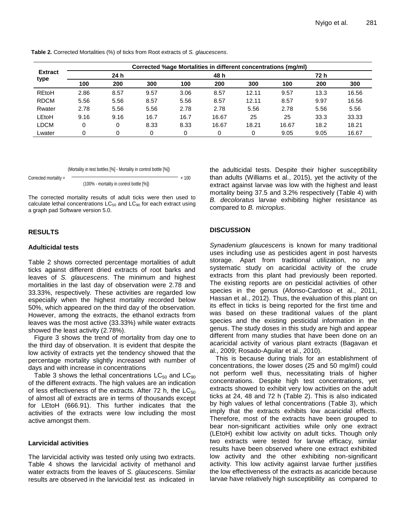| <b>Extract</b><br>type | Corrected %age Mortalities in different concentrations (mg/ml) |      |      |      |       |       |       |      |       |  |
|------------------------|----------------------------------------------------------------|------|------|------|-------|-------|-------|------|-------|--|
|                        | 24 h                                                           |      |      | 48 h |       |       | 72 h  |      |       |  |
|                        | 100                                                            | 200  | 300  | 100  | 200   | 300   | 100   | 200  | 300   |  |
| <b>REtoH</b>           | 2.86                                                           | 8.57 | 9.57 | 3.06 | 8.57  | 12.11 | 9.57  | 13.3 | 16.56 |  |
| <b>RDCM</b>            | 5.56                                                           | 5.56 | 8.57 | 5.56 | 8.57  | 12.11 | 8.57  | 9.97 | 16.56 |  |
| Rwater                 | 2.78                                                           | 5.56 | 5.56 | 2.78 | 2.78  | 5.56  | 2.78  | 5.56 | 5.56  |  |
| LEtoH                  | 9.16                                                           | 9.16 | 16.7 | 16.7 | 16.67 | 25    | 25    | 33.3 | 33.33 |  |
| <b>LDCM</b>            | 0                                                              | 0    | 8.33 | 8.33 | 16.67 | 18.21 | 16.67 | 18.2 | 18.21 |  |
| Lwater                 |                                                                | 0    |      |      |       | 0     | 9.05  | 9.05 | 16.67 |  |

**Table 2.** Corrected Mortalities (%) of ticks from Root extracts of *S. glaucescens*.

#### (Mortality in test bottles [%] - Mortality in control bottle [%])

Corrected mortality =  $\sqrt{2\pi}$ (100% - mortality in control bottle [%])

The corrected mortality results of adult ticks were then used to calculate lethal concentrations  $LC_{50}$  and  $LC_{90}$  for each extract using a graph pad Software version 5.0.

## **RESULTS**

## **Adulticidal tests**

Table 2 shows corrected percentage mortalities of adult ticks against different dried extracts of root barks and leaves of *S. glaucescens*. The minimum and highest mortalities in the last day of observation were 2.78 and 33.33%, respectively. These activities are regarded low especially when the highest mortality recorded below 50%, which appeared on the third day of the observation. However, among the extracts, the ethanol extracts from leaves was the most active (33.33%) while water extracts showed the least activity (2.78%).

Figure 3 shows the trend of mortality from day one to the third day of observation. It is evident that despite the low activity of extracts yet the tendency showed that the percentage mortality slightly increased with number of days and with increase in concentrations

Table 3 shows the lethal concentrations  $LC_{50}$  and  $LC_{90}$ of the different extracts. The high values are an indication of less effectiveness of the extracts. After 72 h, the  $LC_{50}$ of almost all of extracts are in terms of thousands except for LEtoH (666.91). This further indicates that the activities of the extracts were low including the most active amongst them.

## **Larvicidal activities**

The larvicidal activity was tested only using two extracts. Table 4 shows the larvicidal activity of methanol and water extracts from the leaves of *S. glaucescens*. Similar results are observed in the larvicidal test as indicated in

the adulticidal tests. Despite their higher susceptibility than adults (Williams et al., 2015), yet the activity of the extract against larvae was low with the highest and least mortality being 37.5 and 3.2% respectively (Table 4) with *B. decoloratus* larvae exhibiting higher resistance as compared to *B. microplus*.

## **DISCUSSION**

*Synadenium glaucescens* is known for many traditional uses including use as pesticides agent in post harvests storage. Apart from traditional utilization, no any systematic study on acaricidal activity of the crude extracts from this plant had previously been reported. The existing reports are on pesticidal activities of other species in the genus (Afonso-Cardoso et al., 2011, Hassan et al., 2012). Thus, the evaluation of this plant on its effect in ticks is being reported for the first time and was based on these traditional values of the plant species and the existing pesticidal information in the genus. The study doses in this study are high and appear different from many studies that have been done on an acaricidal activity of various plant extracts (Bagavan et al., 2009; Rosado-Aguilar et al., 2010).

This is because during trials for an establishment of concentrations, the lower doses (25 and 50 mg/ml) could not perform well thus, necessitating trials of higher concentrations. Despite high test concentrations, yet extracts showed to exhibit very low activities on the adult ticks at 24, 48 and 72 h (Table 2). This is also indicated by high values of lethal concentrations (Table 3), which imply that the extracts exhibits low acaricidal effects. Therefore, most of the extracts have been grouped to bear non-significant activities while only one extract (LEtoH) exhibit low activity on adult ticks. Though only two extracts were tested for larvae efficacy, similar results have been observed where one extract exhibited low activity and the other exhibiting non-significant activity. This low activity against larvae further justifies the low effectiveness of the extracts as acaricide because larvae have relatively high susceptibility as compared to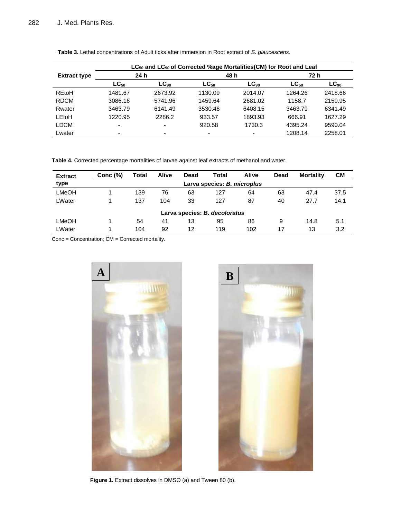|                     | LC <sub>50</sub> and LC <sub>90</sub> of Corrected %age Mortalities(CM) for Root and Leaf |           |                          |           |           |           |  |  |  |  |
|---------------------|-------------------------------------------------------------------------------------------|-----------|--------------------------|-----------|-----------|-----------|--|--|--|--|
| <b>Extract type</b> | 24 h                                                                                      |           |                          | 48 h      | 72 h      |           |  |  |  |  |
|                     | $LC_{50}$                                                                                 | $LC_{90}$ | $LC_{50}$                | $LC_{90}$ | $LC_{50}$ | $LC_{90}$ |  |  |  |  |
| REtoH               | 1481.67                                                                                   | 2673.92   | 1130.09                  | 2014.07   | 1264.26   | 2418.66   |  |  |  |  |
| <b>RDCM</b>         | 3086.16                                                                                   | 5741.96   | 1459.64                  | 2681.02   | 1158.7    | 2159.95   |  |  |  |  |
| Rwater              | 3463.79                                                                                   | 6141.49   | 3530.46                  | 6408.15   | 3463.79   | 6341.49   |  |  |  |  |
| LEtoH               | 1220.95                                                                                   | 2286.2    | 933.57                   | 1893.93   | 666.91    | 1627.29   |  |  |  |  |
| LDCM                | $\overline{\phantom{a}}$                                                                  | -         | 920.58                   | 1730.3    | 4395.24   | 9590.04   |  |  |  |  |
| ∟water              | $\overline{\phantom{0}}$                                                                  |           | $\overline{\phantom{0}}$ | ٠         | 1208.14   | 2258.01   |  |  |  |  |

**Table 3.** Lethal concentrations of Adult ticks after immersion in Root extract of *S. glaucescens.*

**Table 4.** Corrected percentage mortalities of larvae against leaf extracts of methanol and water.

| <b>Extract</b>                | Conc $(%)$                  | Total | <b>Alive</b> | Dead | Total | <b>Alive</b> | Dead | <b>Mortality</b> | CМ   |  |  |
|-------------------------------|-----------------------------|-------|--------------|------|-------|--------------|------|------------------|------|--|--|
| type                          | Larva species: B. microplus |       |              |      |       |              |      |                  |      |  |  |
| <b>LMeOH</b>                  |                             | 139   | 76           | 63   | 127   | 64           | 63   | 47.4             | 37.5 |  |  |
| LWater                        |                             | 137   | 104          | 33   | 127   | 87           | 40   | 27.7             | 14.1 |  |  |
| Larva species: B. decoloratus |                             |       |              |      |       |              |      |                  |      |  |  |
| LMeOH                         |                             | 54    | 41           | 13   | 95    | 86           | 9    | 14.8             | 5.1  |  |  |
| LWater                        |                             | 104   | 92           | 12   | 119   | 102          | 17   | 13               | 3.2  |  |  |

Conc = Concentration; CM = Corrected mortality.





Figure 1. Extract dissolves in DMSO (a) and Tween 80 (b).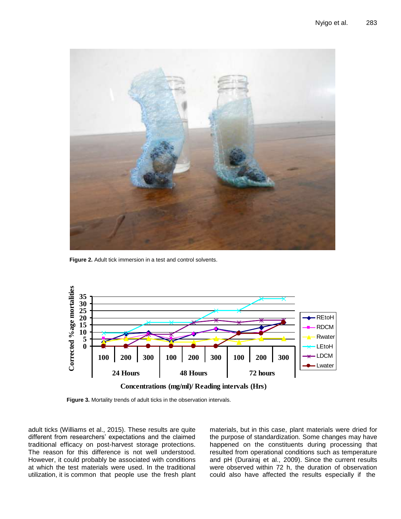

**Figure 2.** Adult tick immersion in a test and control solvents.



**Concentrations (mg/ml)/ Reading intervals (Hrs)**

**Figure 3.** Mortality trends of adult ticks in the observation intervals.

adult ticks (Williams et al., 2015). These results are quite different from researchers' expectations and the claimed traditional efficacy on post-harvest storage protections. The reason for this difference is not well understood. However, it could probably be associated with conditions at which the test materials were used. In the traditional utilization, it is common that people use the fresh plant materials, but in this case, plant materials were dried for the purpose of standardization. Some changes may have happened on the constituents during processing that resulted from operational conditions such as temperature and pH (Durairaj et al., 2009). Since the current results were observed within 72 h, the duration of observation could also have affected the results especially if the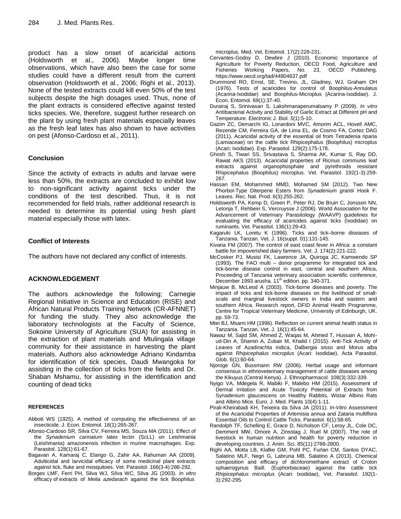product has a slow onset of acaricidal actions (Holdsworth et al., 2006). Maybe longer time observations, which have also been the case for some studies could have a different result from the current observation (Holdsworth et al., 2006; Righi et al., 2013). None of the tested extracts could kill even 50% of the test subjects despite the high dosages used. Thus, none of the plant extracts is considered effective against tested ticks species. We, therefore, suggest further research on the plant by using fresh plant materials especially leaves as the fresh leaf latex has also shown to have activities on pest (Afonso-Cardoso et al., 2011).

## **Conclusion**

Since the activity of extracts in adults and larvae were less than 50%, the extracts are concluded to exhibit low to non-significant activity against ticks under the conditions of the test described. Thus, it is not recommended for field trials, rather additional research is needed to determine its potential using fresh plant material especially those with latex.

## **Conflict of Interests**

The authors have not declared any conflict of interests.

## **ACKNOWLEDGEMENT**

The authors acknowledge the following; Carnegie Regional Initiative in Science and Education (RISE) and African Natural Products Training Network (CR-AFNNET) for funding the study. They also acknowledge the laboratory technologists at the Faculty of Science, Sokoine University of Agriculture (SUA) for assisting in the extraction of plant materials and Mtulingala village community for their assistance in harvesting the plant materials. Authors also acknowledge Adriano Kindamba for identification of tick species, Daudi Mwangoka for assisting in the collection of ticks from the fields and Dr. Shaban Mshamu, for assisting in the identification and counting of dead ticks

## **REFERENCES**

- Abbott WS (1925). A method of computing the effectiveness of an insecticide. J. Econ. Entomol. 18(1):265-267.
- Afonso-Cardoso SR, Silva CV, Ferreira MS, Souza MA (2011). Effect of the *Synadenium carinatum* latex lectin (ScLL) on Leishmania (Leishmania) amazonensis infection in murine macrophages. Exp. Parasitol. 128(1):61-67.
- Bagavan A, Kamaraj C, Elango G, Zahir AA, Rahuman AA (2009). Adulticidal and larvicidal efficacy of some medicinal plant extracts against tick, fluke and mosquitoes. Vet. Parasitol. 166(3-4):286-292.
- Borges LMF, Ferri PH, Silva WJ, Silva WC, Silva JG (2003). *In vitro* efficacy of extracts of *Melia azedarach* against the tick Boophilus

microplus. Med. Vet. Entomol. 17(2):228-231.

- Cervantes-Godoy D, Dewbre J (2010). Economic Importance of Agriculture for Poverty Reduction, OECD Food, Agriculture and<br>Fisheries Working Papers, No. 23, OECD Publishing. 23, OECD Publishing. <https://www.oecd.org/tad/44804637.pdf>
- Drummond RO, Ernst, SE, Trevino, JL, Gladney, WJ, Graham OH (1976). Tests of acaricides for control of Boophilus-Annulatus (Acarina-Ixodidae) and Boophilus-Microplus (Acarina-Ixodidae). J. Econ. Entomol. 69(1):37-40.
- Durairaj S, Srinivasan S, Lakshmanaperumalsamy P (2009). *In vitro* Antibacterial Activity and Stability of Garlic Extract at Different pH and Temperature. Electronic J. Biol. *5*(1):5-10.
- Gazim ZC, Demarchi IG, Lonardoni MVC, Amorim ACL, Hovell AMC, Rezende CM, Ferreira GA, de Lima EL, de Cosmo FA, Cortez DAG (2011). Acaricidal activity of the essential oil from Tetradenia riparia (Lamiaceae) on the cattle tick Rhipicephalus (Boophilus) microplus (Acari; Ixodidae). Exp. Parasitol. 129(2):175-178.
- Ghosh S, Tiwari SS, Srivastava S, Sharma AK, Kumar S, Ray DD, Rawat AKS (2013). Acaricidal properties of Ricinus communis leaf extracts against organophosphate and pyrethroids resistant Rhipicephalus (Boophilus) microplus. Vet. Parasitol. 192(1-3):259- 267.
- Hassan EM, Mohammed MMD, Mohamed SM (2012). Two New Phorbol-Type Diterpene Esters from *Synadenium grantii* Hook F. Leaves. Rec. Nat. Prod. 6(3):255-262.
- Holdsworth PA, Kemp D, Green P, Peter RJ, De Bruin C, Jonsson NN, Letonja T, Rehbein S, Vercruysse J (2006). World Association for the Advancement of Veterinary Parasitology (WAAVP) guidelines for evaluating the efficacy of acaricides against ticks (Ixodidae) on ruminants. Vet. Parasitol. 136(1):29-43.
- Kagaruki LK, Loretu K (1996). Ticks and tick–borne diseases of Tanzania. Tanzan. Vet. J. 16(suppl. 01):131-145.
- Kivaria FM (2007). The control of east coast fever in Africa: a constant battle for impoverished dairy farmers. Vet. J. 174(2):221-222.
- McCosker PJ, Musisi FK, Lawrence JA, Quiroga JC, Kamwendo SP (1993). The FAO multi – donor programme for integrated tick and tick-borne disease control in east, central and southern Africa, Proceeding of Tanzania veterinary association scientific conference, December 1993 arusha. 11<sup>th</sup> edition. pp. 340-371.
- Minjauw B, McLeod A (2003). Tick-borne diseases and poverty. The impact of ticks and tick-borne diseases on the livelihood of smallscale and marginal livestock owners in India and eastern and southern Africa. Research report, DFID Animal Health Programme, Centre for Tropical Veterinary Medicine, University of Edinburgh, UK. pp. 59-73.
- Mtei BJ, Msami HM (1996). Reflection on current animal health status in Tanzania. Tanzan. Vet. J. 16(1):45-64.
- Nawaz M, Sajid SM, Ahmed Z, Waqas M, Ahmed T, Hussain A, Mohiud-Din A, Shamin A, Zubair M, Khalid I (2015). Anti-Tick Activity of Leaves of Azadirachta indica, Dalbergia sisso and Morus alba against *Rhipicephalus microplus* (Acari: Ixodidae). Acta Parasitol. Glob. 6(1):60-64.
- Njoroge GN, Bussmann RW (2006). Herbal usage and informant consensus in ethnoveterinary management of cattle diseases among the Kikuyus (Central Kenya). J. Ethnopharmacol. 108(3):332-339.
- Nyigo VA, Mdegela R, Mabiki F, Malebo HM (2015). Assessment of Dermal Irritation and Acute Toxicity Potential of Extracts from Synadenium glaucescens on Healthy Rabbits, Wistar Albino Rats and Albino Mice. Euro. J. Med. Plants 10(4):1-11.
- Pirali-Kheirabadi KH, Teixeira da Silva JA (2011). *In-Vitro* Assessment of the Acaricidal Properties of Artemisia annua and Zataria multiflora Essential Oils to Control Cattle Ticks. Parasitol. 6(1):58-65.
- Randolph TF, Schelling E, Grace D, Nicholson CF, Leroy JL, Cole DC, Demment MW, Omore A, Zinsstag J, Ruel M (2007). The role of livestock in human nutrition and health for poverty reduction in developing countries. J. Anim. Sci. 85(11):2788-2800.
- Righi AA, Motta LB, Klafke GM, Pohl PC, Furlan CM, Santos DYAC, Salatino MLF, Negri G, Labruna MB, Salatino A (2013). Chemical composition and efficacy of dichloromethane extract of Croton sphaerogynus Baill. (Euphorbiaceae) against the cattle tick *Rhipicephalus microplus* (Acari: Ixodidae), Vet. Parasitol. 192(1- 3):292-295.